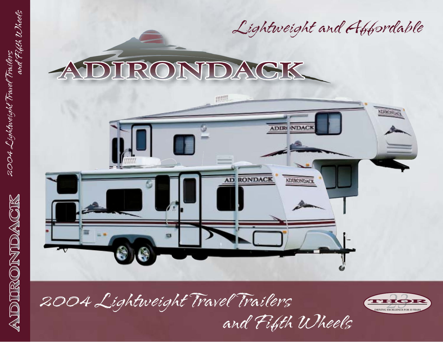

# RONDAGK

2004 Lightweight Travel Trailers

2004 Lightweight Travel

ADDIRONDACK

and Fifth Wheels

Trailers<br>and Fifth Wheels



2004 Lightweight Travel Trailers and Fifth Wheels

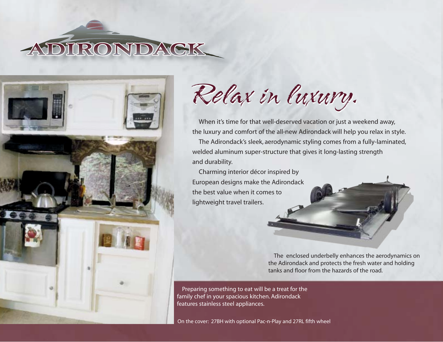



Relax in luxury. Relax in luxury.

When it's time for that well-deserved vacation or just a weekend away, the luxury and comfort of the all-new Adirondack will help you relax in style.

The Adirondack's sleek, aerodynamic styling comes from a fully-laminated, welded aluminum super-structure that gives it long-lasting strength and durability.

Charming interior décor inspired by European designs make the Adirondack the best value when it comes to lightweight travel trailers.

> The enclosed underbelly enhances the aerodynamics on the Adirondack and protects the fresh water and holding tanks and floor from the hazards of the road.

Preparing something to eat will be a treat for the family chef in your spacious kitchen. Adirondack features stainless steel appliances.

On the cover: 27BH with optional Pac-n-Play and 27RL fifth wheel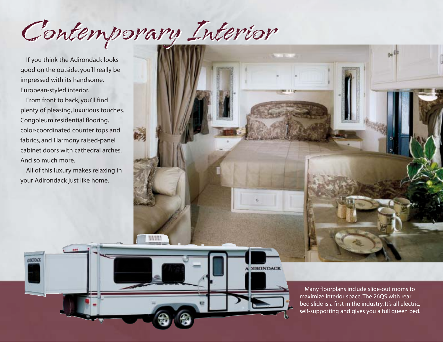Contemporary Interior Contemporary Interior

If you think the Adirondack looks good on the outside, you'll really be impressed with its handsome, European-styled interior.

From front to back, you'll find plenty of pleasing, luxurious touches. Congoleum residential flooring, color-coordinated counter tops and fabrics, and Harmony raised-panel cabinet doors with cathedral arches. And so much more.

All of this luxury makes relaxing in your Adirondack just like home.

COOKKO



**JIRONDACK** 

Many floorplans include slide-out rooms to maximize interior space. The 26QS with rear bed slide is a first in the industry. It's all electric, self-supporting and gives you a full queen bed.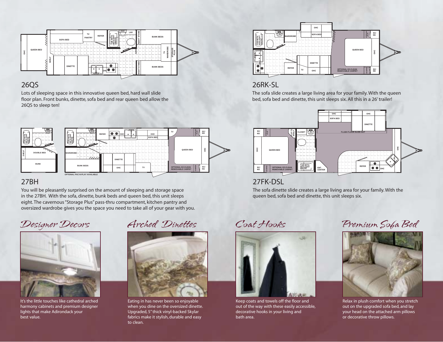

### 26QS

Lots of sleeping space in this innovative queen bed, hard wall slide floor plan. Front bunks, dinette, sofa bed and rear queen bed allow the 26QS to sleep ten!



## 27BH

You will be pleasantly surprised on the amount of sleeping and storage space in the 27BH. With the sofa, dinette, bunk beds and queen bed, this unit sleeps eight. The cavernous "Storage Plus" pass-thru compartment, kitchen pantry and oversized wardrobe gives you the space you need to take all of your gear with you.



It's the little touches like cathedral arched harmony cabinets and premium designer lights that make Adirondack your best value.



Eating in has never been so enjoyable when you dine on the oversized dinette. Upgraded, 5" thick vinyl-backed Skylar fabrics make it stylish, durable and easy to clean.



## 26RK-SL

The sofa slide creates a large living area for your family. With the queen bed, sofa bed and dinette, this unit sleeps six. All this in a 26' trailer!



27FK-DSL

The sofa dinette slide creates a large living area for your family. With the queen bed, sofa bed and dinette, this unit sleeps six.



Keep coats and towels off the floor and out of the way with these easily accessible, decorative hooks in your living and bath area.

Designer Decors Arched Dinettes Coat Hooks Premium Sofa Bed



Relax in plush comfort when you stretch out on the upgraded sofa bed, and lay your head on the attached arm pillows or decorative throw pillows.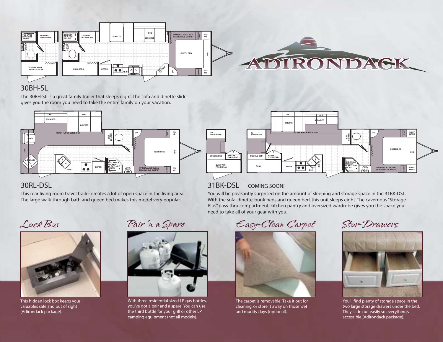

## 30BH-SL

The 30BH-SL is a great family trailer that sleeps eight. The sofa and dinette slide gives you the room you need to take the entire family on your vacation.





## 30RL-DSL

This rear living room travel trailer creates a lot of open space in the living area. The large walk-through bath and queen bed makes this model very popular.



This hidden lock box keeps your valuables safe and out of sight (Adirondack package).

Pair 'n a Spare



With three residential-sized LP gas bottles, you've got a pair and a spare! You can use the third bottle for your grill or other LP camping equipment (not all models).

need to take all of your gear with you.



The carpet is removable! Take it out for cleaning, or store it away on those wet and muddy days (optional).



You'll find plenty of storage space in the two large storage drawers under the bed. They slide out easily so everything's accessible (Adirondack package).

Lock Box Pair'n a Spare Easy-Clean Carpet Stor-Drawers

You will be pleasantly surprised on the amount of sleeping and storage space in the 31BK-DSL. With the sofa, dinette, bunk beds and queen bed, this unit sleeps eight. The cavernous "Storage Plus" pass-thru compartment, kitchen pantry and oversized wardrobe gives you the space you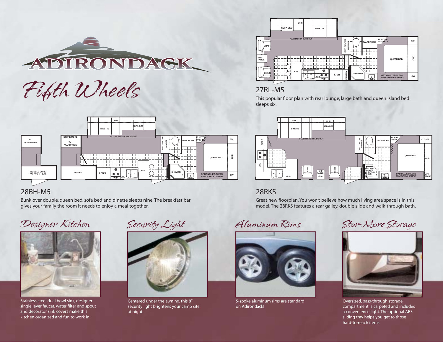

Fifth Wheels



## 28BH-M5

Bunk over double, queen bed, sofa bed and dinette sleeps nine. The breakfast bar gives your family the room it needs to enjoy a meal together.

## Designer Kitchen



Stainless steel dual bowl sink, designer single lever faucet, water filter and spout and decorator sink covers make this kitchen organized and fun to work in.





Centered under the awning, this 8" security light brightens your camp site at night.



## 27RL-M5

This popular floor plan with rear lounge, large bath and queen island bed sleeps six.



## 28RKS

Great new floorplan. You won't believe how much living area space is in this model. The 28RKS features a rear galley, double slide and walk-through bath.

Security Light Aluminum Rims



5-spoke aluminum rims are standard on Adirondack!

Stor-More Storage



Oversized, pass-through storage compartment is carpeted and includes a convenience light. The optional ABS sliding tray helps you get to those hard-to-reach items.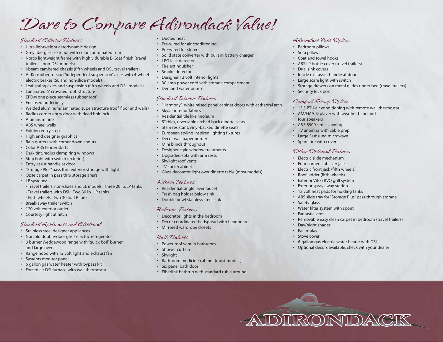## Dare to Compare Adirondack Value!

#### Standard Exterior Features

- Ultra lightweight aerodynamic design
- Grey fiberglass exterior with color coordinated trim
- Norco lightweight frame with highly durable E-Coat finish (travel trailers – non-DSL models)
- I-beam cambered chassis (fifth wheels and DSL travel trailers)
- Al-Ko rubber torsion "independent suspension" axles with 4-wheel electric brakes (SL and non-slide models)
- Leaf spring axles and suspension (fifth wheels and DSL models)
- Laminated 5" crowned roof structure
- EPDM one piece seamless rubber roof
- Enclosed underbelly
- Welded aluminum/laminated superstructure (roof, floor and walls)
- Radius corner entry door with dead bolt lock
- Aluminum rims
- ABS wheel wells
- Folding entry step
- High end designer graphics
- Rain gutters with corner down spouts
- Color ABS fender skirts
- Dark tint, radius clamp ring windows
- Step light with switch (exterior)
- Entry assist handle at door
- "Storage Plus" pass thru exterior storage with light
- Ozite carpet in pass thru storage area's
- LP systems:
- Travel trailers, non-slides and SL models: Three 20 lb. LP tanks - Travel trailers with DSL: Two 30 lb. LP tanks
- Fifth wheels: Two 30 lb. LP tanks
- Break-away trailer switch
- 120 volt exterior outlet
- Courtesy light at hitch

#### Standard Appliances and Electrical

- Stainless steel designer appliances
- Norcold double-door gas / electric refrigerator
- 3 burner Wedgewood range with "quick boil" burner and large oven
- Range hood with 12 volt light and exhaust fan
- Systems monitor panel
- 6 gallon gas water heater with bypass kit
- Forced air DSI furnace with wall thermostat
- Ducted heat
- Pre-wired for air conditioning
- Pre-wired for stereo
- Solid state converter with built in battery charger
- LPG leak detector
- Fire extinguisher
- Smoke detector
- Designer 12 volt interior lights
- 30 amp power cord with storage compartment
- Demand water pump

### Standard Interior Features

- "Harmony" white raised panel cabinet doors with cathedral arch
- **Skylar interior fabrics**
- Residential tile like linoleum
- 5" thick, reversable arched back dinette seats
- Stain resistant, vinyl-backed dinette seats
- European styling inspired lighting fixtures
- Décor wall paper border
- Mini blinds throughout
- Designer style window treatments
- Upgraded sofa with arm rests
- Skylight roof vents
- TV shelf/cabinet
- Glass decorator light over dinette table (most models)

#### Kitchen Features

- Residential single lever faucet
- Trash bag holder below sink
- Double bowl stainless steel sink

#### Bedroom Features

- Decorator lights in the bedroom
- Décor coordinated bedspread with headboard
- Mirrored wardrobe closets

#### Bath Features

- Power roof vent in bathroom
- Shower curtain
- Skylight
- Bathroom medicine cabinet (most models)
- Six panel bath door
- Fiberlink bathtub with standard tub surround

#### Adirondack Pack Option

- Bedroom pillows
- Sofa pillows
- Coat and towel hooks
- ABS LP bottle cover (travel trailers)
- Dual sink covers
- Inside exit assist handle at door
- Large scare light with switch
- Storage drawers on metal glides under bed (travel trailers)
- Security lock box

### Comfort Group Option

- 13.5 BTU air conditioning with remote wall thermostat
- AM/FM/CD player with weather band and four speakers
- A&E 8500 series awning
- TV antenna with cable prep
- Large Samsung microwave
- Spare tire with cover

#### Other Optional Features

- Electric slide mechanism
- Four corner stabilizer jacks
- Electric front jack (fifth wheels)
- Roof ladder (fifth wheels)

• Safety glass

• Fantastic vent

• Day/night shades • Pac-n-play Stove cover

• Exterior Vitco RVQ grill system • Exterior spray away station

• 12 volt heat pads for holding tanks

• Water filter system with spout

• ABS slide tray for "Storage Plus" pass-through storage

• 6-gallon gas electric water heater with DSI • Optional décors available; check with your dealer

• Removable easy clean carpet in bedroom (travel trailers)